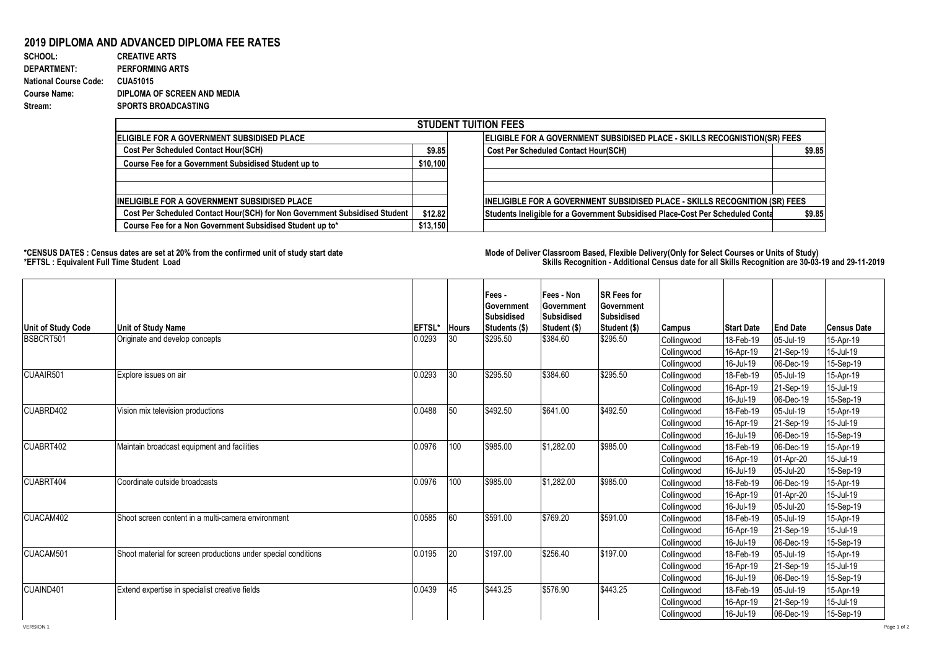## **2019 DIPLOMA AND ADVANCED DIPLOMA FEE RATES**

| SCHOOL:                      | <b>CREATIVE ARTS</b>        |
|------------------------------|-----------------------------|
| <b>DEPARTMENT:</b>           | <b>PERFORMING ARTS</b>      |
| <b>National Course Code:</b> | <b>CUA51015</b>             |
| <b>Course Name:</b>          | DIPLOMA OF SCREEN AND MEDIA |
| Stream:                      | <b>SPORTS BROADCASTING</b>  |

|                                                                            |                                                                           | <b>STUDENT TUITION FEES</b>                                                              |  |  |  |  |
|----------------------------------------------------------------------------|---------------------------------------------------------------------------|------------------------------------------------------------------------------------------|--|--|--|--|
| <b>IELIGIBLE FOR A GOVERNMENT SUBSIDISED PLACE</b>                         | ELIGIBLE FOR A GOVERNMENT SUBSIDISED PLACE - SKILLS RECOGNISTION(SR) FEES |                                                                                          |  |  |  |  |
| <b>Cost Per Scheduled Contact Hour(SCH)</b>                                | \$9.85                                                                    | \$9.85<br><b>Cost Per Scheduled Contact Hour(SCH)</b>                                    |  |  |  |  |
| Course Fee for a Government Subsidised Student up to                       | \$10,100                                                                  |                                                                                          |  |  |  |  |
| <b>IINELIGIBLE FOR A GOVERNMENT SUBSIDISED PLACE</b>                       |                                                                           | <b>INELIGIBLE FOR A GOVERNMENT SUBSIDISED PLACE - SKILLS RECOGNITION (SR) FEES</b>       |  |  |  |  |
| Cost Per Scheduled Contact Hour(SCH) for Non Government Subsidised Student | \$12.82                                                                   | \$9.85<br>Students Ineligible for a Government Subsidised Place-Cost Per Scheduled Conta |  |  |  |  |
| Course Fee for a Non Government Subsidised Student up to*                  | \$13,150                                                                  |                                                                                          |  |  |  |  |

**\*CENSUS DATES : Census dates are set at 20% from the confirmed unit of study start date Mode of Delivery:Classroom Based, Flexible Delivery(Only for Select Courses or Units of Study) \*EFTSL : Equivalent Full Time Student Load Skills Recognition - Additional Census date for all Skills Recognition are 30-03-19 and 29-11-2019** 

| <b>Unit of Study Code</b> | <b>Unit of Study Name</b>                                      | <b>EFTSL*</b> | <b>Hours</b> | Fees -<br>Government<br><b>Subsidised</b><br>Students (\$) | Fees - Non<br>Government<br><b>Subsidised</b><br>Student (\$) | <b>SR Fees for</b><br>Government<br><b>Subsidised</b><br>Student (\$) | <b>Campus</b> | <b>Start Date</b> | <b>End Date</b> | Census Date |
|---------------------------|----------------------------------------------------------------|---------------|--------------|------------------------------------------------------------|---------------------------------------------------------------|-----------------------------------------------------------------------|---------------|-------------------|-----------------|-------------|
| BSBCRT501                 | Originate and develop concepts                                 | 0.0293        | 30           | \$295.50                                                   | \$384.60                                                      | \$295.50                                                              | Collingwood   | 18-Feb-19         | 05-Jul-19       | 15-Apr-19   |
|                           |                                                                |               |              |                                                            |                                                               |                                                                       | Collingwood   | 16-Apr-19         | 21-Sep-19       | 15-Jul-19   |
|                           |                                                                |               |              |                                                            |                                                               |                                                                       | Collingwood   | 16-Jul-19         | 06-Dec-19       | 15-Sep-19   |
| CUAAIR501                 | Explore issues on air                                          | 0.0293        | 30           | \$295.50                                                   | \$384.60                                                      | \$295.50                                                              | Collingwood   | 18-Feb-19         | 05-Jul-19       | 15-Apr-19   |
|                           |                                                                |               |              |                                                            |                                                               |                                                                       | Collingwood   | 16-Apr-19         | 21-Sep-19       | 15-Jul-19   |
|                           |                                                                |               |              |                                                            |                                                               |                                                                       | Collingwood   | 16-Jul-19         | 06-Dec-19       | 15-Sep-19   |
| CUABRD402                 | Vision mix television productions                              | 0.0488        | 50           | \$492.50                                                   | $\sqrt{$641.00}$                                              | \$492.50                                                              | Collingwood   | 18-Feb-19         | 05-Jul-19       | 15-Apr-19   |
|                           |                                                                |               |              |                                                            |                                                               |                                                                       | Collingwood   | 16-Apr-19         | 21-Sep-19       | 15-Jul-19   |
|                           |                                                                |               |              |                                                            |                                                               |                                                                       | Collingwood   | 16-Jul-19         | 06-Dec-19       | 15-Sep-19   |
| CUABRT402                 | Maintain broadcast equipment and facilities                    | 0.0976        | 100          | \$985.00                                                   | \$1,282.00                                                    | \$985.00                                                              | Collingwood   | 18-Feb-19         | 06-Dec-19       | 15-Apr-19   |
|                           |                                                                |               |              |                                                            |                                                               |                                                                       | Collingwood   | 16-Apr-19         | 01-Apr-20       | 15-Jul-19   |
|                           |                                                                |               |              |                                                            |                                                               |                                                                       | Collingwood   | 16-Jul-19         | 05-Jul-20       | 15-Sep-19   |
| CUABRT404                 | Coordinate outside broadcasts                                  | 0.0976        | 100          | \$985.00                                                   | \$1,282.00                                                    | \$985.00                                                              | Collingwood   | 18-Feb-19         | 06-Dec-19       | 15-Apr-19   |
|                           |                                                                |               |              |                                                            |                                                               |                                                                       | Collingwood   | 16-Apr-19         | 01-Apr-20       | 15-Jul-19   |
|                           |                                                                |               |              |                                                            |                                                               |                                                                       | Collingwood   | 16-Jul-19         | 05-Jul-20       | 15-Sep-19   |
| CUACAM402                 | Shoot screen content in a multi-camera environment             | 0.0585        | 60           | \$591.00                                                   | \$769.20                                                      | \$591.00                                                              | Collingwood   | 18-Feb-19         | 05-Jul-19       | 15-Apr-19   |
|                           |                                                                |               |              |                                                            |                                                               |                                                                       | Collingwood   | 16-Apr-19         | 21-Sep-19       | 15-Jul-19   |
|                           |                                                                |               |              |                                                            |                                                               |                                                                       | Collingwood   | 16-Jul-19         | 06-Dec-19       | 15-Sep-19   |
| CUACAM501                 | Shoot material for screen productions under special conditions | 0.0195        | 20           | $\sqrt{$197.00}$                                           | \$256.40                                                      | \$197.00                                                              | Collingwood   | 18-Feb-19         | 05-Jul-19       | 15-Apr-19   |
|                           |                                                                |               |              |                                                            |                                                               |                                                                       | Collingwood   | 16-Apr-19         | 21-Sep-19       | 15-Jul-19   |
|                           |                                                                |               |              |                                                            |                                                               |                                                                       | Collingwood   | 16-Jul-19         | 06-Dec-19       | 15-Sep-19   |
| CUAIND401                 | Extend expertise in specialist creative fields                 | 0.0439        | 45           | \$443.25                                                   | \$576.90                                                      | \$443.25                                                              | Collingwood   | 18-Feb-19         | 05-Jul-19       | 15-Apr-19   |
|                           |                                                                |               |              |                                                            |                                                               |                                                                       | Collingwood   | 16-Apr-19         | 21-Sep-19       | 15-Jul-19   |
|                           |                                                                |               |              |                                                            |                                                               |                                                                       | Collingwood   | 16-Jul-19         | 06-Dec-19       | 15-Sep-19   |